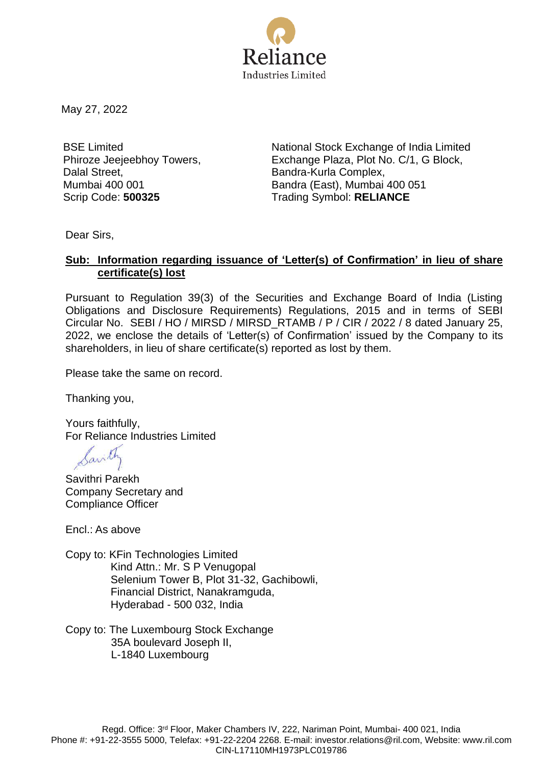

May 27, 2022

BSE Limited Phiroze Jeejeebhoy Towers, Dalal Street, Mumbai 400 001

National Stock Exchange of India Limited Exchange Plaza, Plot No. C/1, G Block, Bandra-Kurla Complex, Bandra (East), Mumbai 400 051 Scrip Code: **500325** Trading Symbol: **RELIANCE**

Dear Sirs,

# **Sub: Information regarding issuance of 'Letter(s) of Confirmation' in lieu of share certificate(s) lost**

Pursuant to Regulation 39(3) of the Securities and Exchange Board of India (Listing Obligations and Disclosure Requirements) Regulations, 2015 and in terms of SEBI Circular No. SEBI / HO / MIRSD / MIRSD\_RTAMB / P / CIR / 2022 / 8 dated January 25, 2022, we enclose the details of 'Letter(s) of Confirmation' issued by the Company to its shareholders, in lieu of share certificate(s) reported as lost by them.

Please take the same on record.

Thanking you,

Yours faithfully, For Reliance Industries Limited

Savill

Savithri Parekh Company Secretary and Compliance Officer

Encl.: As above

- Copy to: KFin Technologies Limited Kind Attn.: Mr. S P Venugopal Selenium Tower B, Plot 31-32, Gachibowli, Financial District, Nanakramguda, Hyderabad - 500 032, India
- Copy to: The Luxembourg Stock Exchange 35A boulevard Joseph II, L-1840 Luxembourg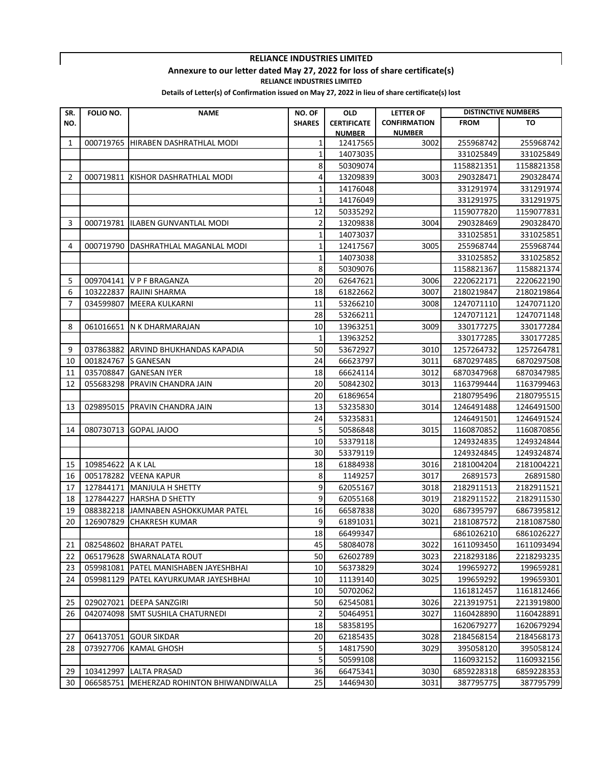#### **Annexure to our letter dated May 27, 2022 for loss of share certificate(s)**

**RELIANCE INDUSTRIES LIMITED**

 $\mathbf{I}$ 

| SR. | <b>FOLIO NO.</b>  | <b>NAME</b>                                                  | NO. OF         | <b>OLD</b>           | <b>LETTER OF</b>    | <b>DISTINCTIVE NUMBERS</b> |                          |
|-----|-------------------|--------------------------------------------------------------|----------------|----------------------|---------------------|----------------------------|--------------------------|
| NO. |                   |                                                              | <b>SHARES</b>  | <b>CERTIFICATE</b>   | <b>CONFIRMATION</b> | <b>FROM</b>                | TO                       |
|     |                   |                                                              |                | <b>NUMBER</b>        | <b>NUMBER</b>       |                            |                          |
| 1   | 000719765         | HIRABEN DASHRATHLAL MODI                                     | 1              | 12417565             | 3002                | 255968742                  | 255968742                |
|     |                   |                                                              | 1              | 14073035             |                     | 331025849                  | 331025849                |
|     |                   |                                                              | 8              | 50309074             |                     | 1158821351                 | 1158821358               |
| 2   | 000719811         | KISHOR DASHRATHLAL MODI                                      | 4              | 13209839             | 3003                | 290328471                  | 290328474                |
|     |                   |                                                              | 1              | 14176048             |                     | 331291974                  | 331291974                |
|     |                   |                                                              | 1              | 14176049             |                     | 331291975                  | 331291975                |
|     |                   |                                                              | 12             | 50335292             |                     | 1159077820                 | 1159077831               |
| 3   |                   | 000719781 IILABEN GUNVANTLAL MODI                            | 2              | 13209838             | 3004                | 290328469                  | 290328470                |
|     |                   |                                                              | 1              | 14073037             |                     | 331025851                  | 331025851                |
| 4   |                   | 000719790 DASHRATHLAL MAGANLAL MODI                          | 1              | 12417567             | 3005                | 255968744                  | 255968744                |
|     |                   |                                                              | 1              | 14073038             |                     | 331025852                  | 331025852                |
|     |                   |                                                              | 8              | 50309076             |                     | 1158821367                 | 1158821374               |
| 5   |                   | 009704141 V P F BRAGANZA                                     | 20             | 62647621             | 3006                | 2220622171                 | 2220622190               |
| 6   | 103222837         | <b>RAJINI SHARMA</b>                                         | 18             | 61822662             | 3007                | 2180219847                 | 2180219864               |
| 7   | 034599807         | <b>MEERA KULKARNI</b>                                        | 11             | 53266210             | 3008                | 1247071110                 | 1247071120               |
|     |                   |                                                              | 28             | 53266211             |                     | 1247071121                 | 1247071148               |
| 8   |                   | 061016651 N K DHARMARAJAN                                    | 10             | 13963251             | 3009                | 330177275                  | 330177284                |
|     |                   |                                                              | 1              | 13963252             |                     | 330177285                  | 330177285                |
| 9   |                   | 037863882 ARVIND BHUKHANDAS KAPADIA                          | 50             | 53672927             | 3010                | 1257264732                 | 1257264781               |
| 10  | 001824767         | <b>S GANESAN</b>                                             | 24             | 66623797             | 3011                | 6870297485                 | 6870297508               |
| 11  | 035708847         | <b>GANESAN IYER</b>                                          | 18             | 66624114             | 3012                | 6870347968                 | 6870347985               |
| 12  | 055683298         | <b>PRAVIN CHANDRA JAIN</b>                                   | 20             | 50842302             | 3013                | 1163799444                 | 1163799463               |
|     |                   |                                                              | 20             | 61869654             |                     | 2180795496                 | 2180795515               |
| 13  | 029895015         | <b>PRAVIN CHANDRA JAIN</b>                                   | 13             | 53235830             | 3014                | 1246491488                 | 1246491500               |
|     |                   |                                                              | 24             | 53235831             |                     | 1246491501                 | 1246491524               |
| 14  | 080730713         | <b>GOPAL JAJOO</b>                                           | 5              | 50586848             | 3015                | 1160870852                 | 1160870856               |
|     |                   |                                                              | 10             | 53379118             |                     | 1249324835                 | 1249324844               |
|     |                   |                                                              | 30             | 53379119             |                     | 1249324845                 | 1249324874               |
| 15  | 109854622 A K LAL |                                                              | 18             | 61884938             | 3016                | 2181004204                 | 2181004221               |
| 16  |                   | 005178282 VEENA KAPUR                                        | 8              | 1149257              | 3017                | 26891573                   | 26891580                 |
| 17  |                   | 127844171 MANJULA H SHETTY                                   | 9              | 62055167             | 3018                | 2182911513                 | 2182911521               |
| 18  | 127844227         | <b>HARSHA D SHETTY</b>                                       | 9              | 62055168             | 3019                | 2182911522                 | 2182911530               |
| 19  |                   | 088382218 JAMNABEN ASHOKKUMAR PATEL                          | 16             | 66587838             | 3020                | 6867395797                 | 6867395812               |
| 20  | 126907829         | <b>CHAKRESH KUMAR</b>                                        | 9              | 61891031             | 3021                | 2181087572                 | 2181087580               |
|     |                   |                                                              | 18             |                      |                     |                            |                          |
| 21  |                   | 082548602 BHARAT PATEL                                       | 45             | 66499347<br>58084078 | 3022                | 6861026210<br>1611093450   | 6861026227<br>1611093494 |
| 22  |                   | 065179628 SWARNALATA ROUT                                    | 50             | 62602789             | 3023                | 2218293186                 | 2218293235               |
|     |                   |                                                              |                |                      |                     |                            |                          |
| 23  |                   | 059981081 PATEL MANISHABEN JAYESHBHAI                        | 10             | 56373829             | 3024                | 199659272                  | 199659281                |
| 24  |                   | 059981129 PATEL KAYURKUMAR JAYESHBHAI                        | 10             | 11139140             | 3025                | 199659292                  | 199659301                |
|     |                   |                                                              | 10             | 50702062             |                     | 1161812457                 | 1161812466               |
| 25  |                   | 029027021 DEEPA SANZGIRI<br>042074098 SMT SUSHILA CHATURNEDI | 50             | 62545081             | 3026                | 2213919751                 | 2213919800               |
| 26  |                   |                                                              | $\overline{2}$ | 50464951             | 3027                | 1160428890                 | 1160428891               |
|     |                   |                                                              | 18             | 58358195             |                     | 1620679277                 | 1620679294               |
| 27  |                   | 064137051 GOUR SIKDAR                                        | 20             | 62185435             | 3028                | 2184568154                 | 2184568173               |
| 28  |                   | 073927706 KAMAL GHOSH                                        | 5              | 14817590             | 3029                | 395058120                  | 395058124                |
|     |                   |                                                              | 5              | 50599108             |                     | 1160932152                 | 1160932156               |
| 29  |                   | 103412997 LALTA PRASAD                                       | 36             | 66475341             | 3030                | 6859228318                 | 6859228353               |
| 30  |                   | 066585751 MEHERZAD ROHINTON BHIWANDIWALLA                    | 25             | 14469430             | 3031                | 387795775                  | 387795799                |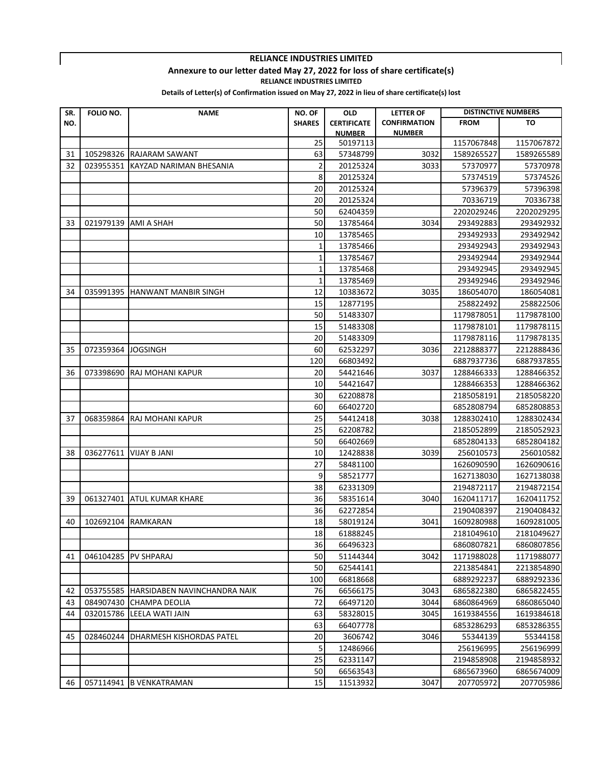#### **Annexure to our letter dated May 27, 2022 for loss of share certificate(s)**

**RELIANCE INDUSTRIES LIMITED**

 $\mathbf{I}$ 

| SR. | FOLIO NO. | <b>NAME</b>                            | NO. OF        | <b>OLD</b>         | <b>LETTER OF</b>    | <b>DISTINCTIVE NUMBERS</b> |            |
|-----|-----------|----------------------------------------|---------------|--------------------|---------------------|----------------------------|------------|
| NO. |           |                                        | <b>SHARES</b> | <b>CERTIFICATE</b> | <b>CONFIRMATION</b> | <b>FROM</b>                | TO         |
|     |           |                                        |               | <b>NUMBER</b>      | <b>NUMBER</b>       |                            |            |
|     |           |                                        | 25            | 50197113           |                     | 1157067848                 | 1157067872 |
| 31  |           | 105298326 RAJARAM SAWANT               | 63            | 57348799           | 3032                | 1589265527                 | 1589265589 |
| 32  | 023955351 | KAYZAD NARIMAN BHESANIA                | 2             | 20125324           | 3033                | 57370977                   | 57370978   |
|     |           |                                        | 8             | 20125324           |                     | 57374519                   | 57374526   |
|     |           |                                        | 20            | 20125324           |                     | 57396379                   | 57396398   |
|     |           |                                        | 20            | 20125324           |                     | 70336719                   | 70336738   |
|     |           |                                        | 50            | 62404359           |                     | 2202029246                 | 2202029295 |
| 33  | 021979139 | <b>AMI A SHAH</b>                      | 50            | 13785464           | 3034                | 293492883                  | 293492932  |
|     |           |                                        | 10            | 13785465           |                     | 293492933                  | 293492942  |
|     |           |                                        | 1             | 13785466           |                     | 293492943                  | 293492943  |
|     |           |                                        | 1             | 13785467           |                     | 293492944                  | 293492944  |
|     |           |                                        | 1             | 13785468           |                     | 293492945                  | 293492945  |
|     |           |                                        | 1             | 13785469           |                     | 293492946                  | 293492946  |
| 34  | 035991395 | <b>HANWANT MANBIR SINGH</b>            | 12            | 10383672           | 3035                | 186054070                  | 186054081  |
|     |           |                                        | 15            | 12877195           |                     | 258822492                  | 258822506  |
|     |           |                                        | 50            | 51483307           |                     | 1179878051                 | 1179878100 |
|     |           |                                        | 15            | 51483308           |                     | 1179878101                 | 1179878115 |
|     |           |                                        | 20            | 51483309           |                     | 1179878116                 | 1179878135 |
| 35  | 072359364 | <b>JOGSINGH</b>                        | 60            | 62532297           | 3036                | 2212888377                 | 2212888436 |
|     |           |                                        | 120           | 66803492           |                     | 6887937736                 | 6887937855 |
| 36  | 073398690 | <b>RAJ MOHANI KAPUR</b>                | 20            | 54421646           | 3037                | 1288466333                 | 1288466352 |
|     |           |                                        | 10            | 54421647           |                     | 1288466353                 | 1288466362 |
|     |           |                                        | 30            | 62208878           |                     | 2185058191                 | 2185058220 |
|     |           |                                        | 60            | 66402720           |                     | 6852808794                 | 6852808853 |
| 37  | 068359864 | RAJ MOHANI KAPUR                       | 25            | 54412418           | 3038                | 1288302410                 | 1288302434 |
|     |           |                                        | 25            | 62208782           |                     | 2185052899                 | 2185052923 |
|     |           |                                        | 50            | 66402669           |                     | 6852804133                 | 6852804182 |
| 38  | 036277611 | <b>VIJAY B JANI</b>                    | 10            | 12428838           | 3039                | 256010573                  | 256010582  |
|     |           |                                        | 27            | 58481100           |                     | 1626090590                 | 1626090616 |
|     |           |                                        | 9             | 58521777           |                     | 1627138030                 | 1627138038 |
|     |           |                                        | 38            | 62331309           |                     | 2194872117                 | 2194872154 |
| 39  | 061327401 | <b>ATUL KUMAR KHARE</b>                | 36            | 58351614           | 3040                | 1620411717                 | 1620411752 |
|     |           |                                        | 36            | 62272854           |                     | 2190408397                 | 2190408432 |
| 40  | 102692104 | <b>RAMKARAN</b>                        | 18            | 58019124           | 3041                | 1609280988                 | 1609281005 |
|     |           |                                        | 18            | 61888245           |                     | 2181049610                 | 2181049627 |
|     |           |                                        | 36            | 66496323           |                     | 6860807821                 | 6860807856 |
| 41  |           | 046104285 PV SHPARAJ                   | 50            | 51144344           | 3042                | 1171988028                 | 1171988077 |
|     |           |                                        | 50            | 62544141           |                     | 2213854841                 | 2213854890 |
|     |           |                                        | 100           | 66818668           |                     | 6889292237                 | 6889292336 |
| 42  |           | 053755585 HARSIDABEN NAVINCHANDRA NAIK | 76            | 66566175           | 3043                | 6865822380                 | 6865822455 |
| 43  |           | 084907430 CHAMPA DEOLIA                | 72            | 66497120           | 3044                | 6860864969                 | 6860865040 |
| 44  |           | 032015786 LEELA WATI JAIN              | 63            | 58328015           | 3045                | 1619384556                 | 1619384618 |
|     |           |                                        | 63            | 66407778           |                     | 6853286293                 | 6853286355 |
| 45  |           | 028460244 DHARMESH KISHORDAS PATEL     | 20            | 3606742            | 3046                | 55344139                   | 55344158   |
|     |           |                                        | 5             | 12486966           |                     | 256196995                  | 256196999  |
|     |           |                                        | 25            | 62331147           |                     | 2194858908                 | 2194858932 |
|     |           |                                        | 50            | 66563543           |                     | 6865673960                 | 6865674009 |
| 46  |           | 057114941 B VENKATRAMAN                | 15            | 11513932           | 3047                | 207705972                  | 207705986  |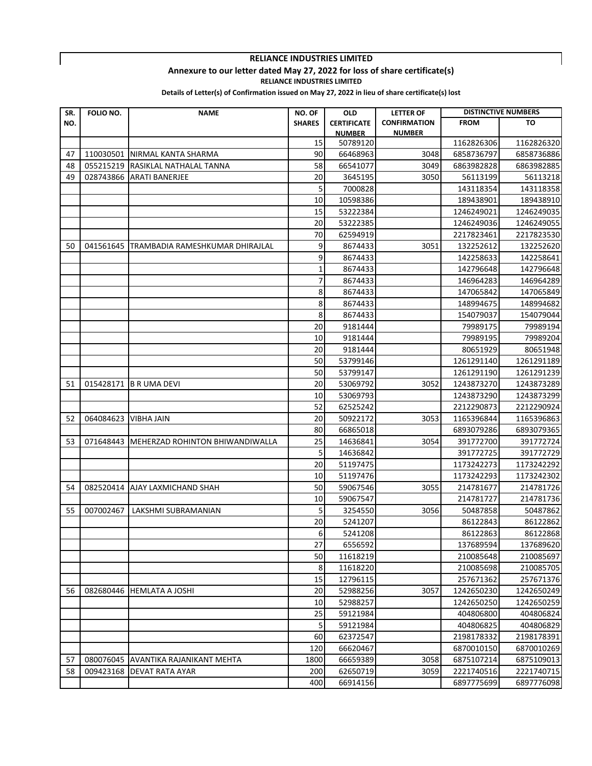### **Annexure to our letter dated May 27, 2022 for loss of share certificate(s)**

**RELIANCE INDUSTRIES LIMITED**

 $\mathbf{I}$ 

| SR. | FOLIO NO. | <b>NAME</b>                         | NO. OF        | <b>OLD</b>         | <b>LETTER OF</b>    | <b>DISTINCTIVE NUMBERS</b> |            |
|-----|-----------|-------------------------------------|---------------|--------------------|---------------------|----------------------------|------------|
| NO. |           |                                     | <b>SHARES</b> | <b>CERTIFICATE</b> | <b>CONFIRMATION</b> | <b>FROM</b>                | TO         |
|     |           |                                     |               | <b>NUMBER</b>      | <b>NUMBER</b>       |                            |            |
|     |           |                                     | 15            | 50789120           |                     | 1162826306                 | 1162826320 |
| 47  | 110030501 | NIRMAL KANTA SHARMA                 | 90            | 66468963           | 3048                | 6858736797                 | 6858736886 |
| 48  | 055215219 | <b>RASIKLAL NATHALAL TANNA</b>      | 58            | 66541077           | 3049                | 6863982828                 | 6863982885 |
| 49  | 028743866 | <b>ARATI BANERJEE</b>               | 20            | 3645195            | 3050                | 56113199                   | 56113218   |
|     |           |                                     | 5             | 7000828            |                     | 143118354                  | 143118358  |
|     |           |                                     | 10            | 10598386           |                     | 189438901                  | 189438910  |
|     |           |                                     | 15            | 53222384           |                     | 1246249021                 | 1246249035 |
|     |           |                                     | 20            | 53222385           |                     | 1246249036                 | 1246249055 |
|     |           |                                     | 70            | 62594919           |                     | 2217823461                 | 2217823530 |
| 50  | 041561645 | TRAMBADIA RAMESHKUMAR DHIRAJLAL     | 9             | 8674433            | 3051                | 132252612                  | 132252620  |
|     |           |                                     | 9             | 8674433            |                     | 142258633                  | 142258641  |
|     |           |                                     | 1             | 8674433            |                     | 142796648                  | 142796648  |
|     |           |                                     | 7             | 8674433            |                     | 146964283                  | 146964289  |
|     |           |                                     | 8             | 8674433            |                     | 147065842                  | 147065849  |
|     |           |                                     | 8             | 8674433            |                     | 148994675                  | 148994682  |
|     |           |                                     | 8             | 8674433            |                     | 154079037                  | 154079044  |
|     |           |                                     | 20            | 9181444            |                     | 79989175                   | 79989194   |
|     |           |                                     | 10            | 9181444            |                     | 79989195                   | 79989204   |
|     |           |                                     | 20            | 9181444            |                     | 80651929                   | 80651948   |
|     |           |                                     | 50            | 53799146           |                     | 1261291140                 | 1261291189 |
|     |           |                                     | 50            | 53799147           |                     | 1261291190                 | 1261291239 |
| 51  | 015428171 | <b>B R UMA DEVI</b>                 | 20            | 53069792           | 3052                | 1243873270                 | 1243873289 |
|     |           |                                     | 10            | 53069793           |                     | 1243873290                 | 1243873299 |
|     |           |                                     | 52            | 62525242           |                     | 2212290873                 | 2212290924 |
| 52  | 064084623 | <b>VIBHA JAIN</b>                   | 20            | 50922172           | 3053                | 1165396844                 | 1165396863 |
|     |           |                                     | 80            | 66865018           |                     | 6893079286                 | 6893079365 |
| 53  | 071648443 | MEHERZAD ROHINTON BHIWANDIWALLA     | 25            | 14636841           | 3054                | 391772700                  | 391772724  |
|     |           |                                     | 5             | 14636842           |                     | 391772725                  | 391772729  |
|     |           |                                     | 20            | 51197475           |                     | 1173242273                 | 1173242292 |
|     |           |                                     | 10            | 51197476           |                     | 1173242293                 | 1173242302 |
| 54  | 082520414 | AJAY LAXMICHAND SHAH                | 50            | 59067546           | 3055                | 214781677                  | 214781726  |
|     |           |                                     | 10            | 59067547           |                     | 214781727                  | 214781736  |
| 55  | 007002467 | LAKSHMI SUBRAMANIAN                 | 5             | 3254550            | 3056                | 50487858                   | 50487862   |
|     |           |                                     | 20            | 5241207            |                     | 86122843                   | 86122862   |
|     |           |                                     | 6             | 5241208            |                     | 86122863                   | 86122868   |
|     |           |                                     | 27            | 6556592            |                     | 137689594                  | 137689620  |
|     |           |                                     | 50            | 11618219           |                     | 210085648                  | 210085697  |
|     |           |                                     | 8             | 11618220           |                     | 210085698                  | 210085705  |
|     |           |                                     | 15            | 12796115           |                     | 257671362                  | 257671376  |
| 56  |           | 082680446 HEMLATA A JOSHI           | 20            | 52988256           | 3057                | 1242650230                 | 1242650249 |
|     |           |                                     | 10            | 52988257           |                     | 1242650250                 | 1242650259 |
|     |           |                                     | 25            | 59121984           |                     | 404806800                  | 404806824  |
|     |           |                                     | 5             | 59121984           |                     | 404806825                  | 404806829  |
|     |           |                                     | 60            | 62372547           |                     | 2198178332                 | 2198178391 |
|     |           |                                     | 120           | 66620467           |                     | 6870010150                 | 6870010269 |
| 57  |           | 080076045 AVANTIKA RAJANIKANT MEHTA | 1800          | 66659389           | 3058                | 6875107214                 | 6875109013 |
| 58  |           | 009423168 DEVAT RATA AYAR           | 200           | 62650719           | 3059                | 2221740516                 | 2221740715 |
|     |           |                                     | 400           | 66914156           |                     | 6897775699                 | 6897776098 |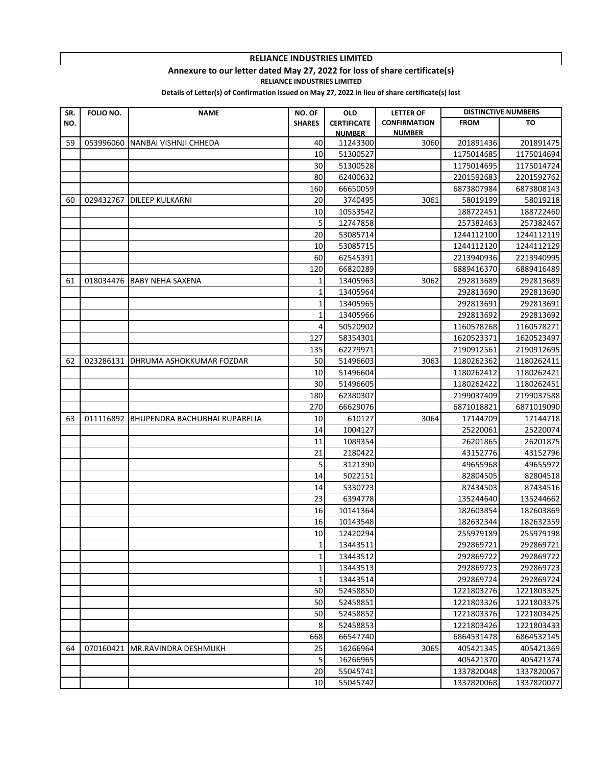### **Annexure to our letter dated May 27, 2022 for loss of share certificate(s)**

**RELIANCE INDUSTRIES LIMITED**

 $\mathbf{I}$ 

| SR. | FOLIO NO. | <b>NAME</b>                             | NO. OF          | <b>OLD</b>         | <b>LETTER OF</b>    |             | <b>DISTINCTIVE NUMBERS</b> |
|-----|-----------|-----------------------------------------|-----------------|--------------------|---------------------|-------------|----------------------------|
| NO. |           |                                         | <b>SHARES</b>   | <b>CERTIFICATE</b> | <b>CONFIRMATION</b> | <b>FROM</b> | TO                         |
|     |           |                                         |                 | <b>NUMBER</b>      | <b>NUMBER</b>       |             |                            |
| 59  |           | 053996060 NANBAI VISHNJI CHHEDA         | 40              | 11243300           | 3060                | 201891436   | 201891475                  |
|     |           |                                         | 10              | 51300527           |                     | 1175014685  | 1175014694                 |
|     |           |                                         | 30              | 51300528           |                     | 1175014695  | 1175014724                 |
|     |           |                                         | 80              | 62400632           |                     | 2201592683  | 2201592762                 |
|     |           |                                         | 160             | 66650059           |                     | 6873807984  | 6873808143                 |
| 60  |           | 029432767   DILEEP KULKARNI             | 20              | 3740495            | 3061                | 58019199    | 58019218                   |
|     |           |                                         | 10              | 10553542           |                     | 188722451   | 188722460                  |
|     |           |                                         | 5               | 12747858           |                     | 257382463   | 257382467                  |
|     |           |                                         | 20              | 53085714           |                     | 1244112100  | 1244112119                 |
|     |           |                                         | 10              | 53085715           |                     | 1244112120  | 1244112129                 |
|     |           |                                         | 60              | 62545391           |                     | 2213940936  | 2213940995                 |
|     |           |                                         | 120             | 66820289           |                     | 6889416370  | 6889416489                 |
| 61  |           | 018034476 BABY NEHA SAXENA              | 1               | 13405963           | 3062                | 292813689   | 292813689                  |
|     |           |                                         | 1               | 13405964           |                     | 292813690   | 292813690                  |
|     |           |                                         | 1               | 13405965           |                     | 292813691   | 292813691                  |
|     |           |                                         | 1               | 13405966           |                     | 292813692   | 292813692                  |
|     |           |                                         | 4               | 50520902           |                     | 1160578268  | 1160578271                 |
|     |           |                                         | 127             | 58354301           |                     | 1620523371  | 1620523497                 |
|     |           |                                         | 135             | 62279971           |                     | 2190912561  | 2190912695                 |
| 62  |           | 023286131 DHRUMA ASHOKKUMAR FOZDAR      | 50              | 51496603           | 3063                | 1180262362  | 1180262411                 |
|     |           |                                         | 10              | 51496604           |                     | 1180262412  | 1180262421                 |
|     |           |                                         | 30              | 51496605           |                     | 1180262422  | 1180262451                 |
|     |           |                                         | 180             | 62380307           |                     | 2199037409  | 2199037588                 |
|     |           |                                         | 270             | 66629076           |                     | 6871018821  | 6871019090                 |
| 63  |           | 011116892 BHUPENDRA BACHUBHAI RUPARELIA | 10              | 610127             | 3064                | 17144709    | 17144718                   |
|     |           |                                         | 14              | 1004127            |                     | 25220061    | 25220074                   |
|     |           |                                         | 11              | 1089354            |                     | 26201865    | 26201875                   |
|     |           |                                         | 21              | 2180422            |                     | 43152776    | 43152796                   |
|     |           |                                         | 5               | 3121390            |                     | 49655968    | 49655972                   |
|     |           |                                         | 14              | 5022151            |                     | 82804505    | 82804518                   |
|     |           |                                         | 14              | 5330723            |                     | 87434503    | 87434516                   |
|     |           |                                         | 23              | 6394778            |                     | 135244640   | 135244662                  |
|     |           |                                         | 16              | 10141364           |                     | 182603854   | 182603869                  |
|     |           |                                         | 16              | 10143548           |                     | 182632344   | 182632359                  |
|     |           |                                         | 10 <sup>1</sup> | 12420294           |                     | 255979189   | 255979198                  |
|     |           |                                         | 1               | 13443511           |                     | 292869721   | 292869721                  |
|     |           |                                         | 1               | 13443512           |                     | 292869722   | 292869722                  |
|     |           |                                         | 1               | 13443513           |                     | 292869723   | 292869723                  |
|     |           |                                         | 1               | 13443514           |                     | 292869724   | 292869724                  |
|     |           |                                         | 50              | 52458850           |                     | 1221803276  | 1221803325                 |
|     |           |                                         | 50              | 52458851           |                     | 1221803326  | 1221803375                 |
|     |           |                                         | 50              | 52458852           |                     | 1221803376  | 1221803425                 |
|     |           |                                         | 8               | 52458853           |                     | 1221803426  | 1221803433                 |
|     |           |                                         | 668             | 66547740           |                     | 6864531478  | 6864532145                 |
| 64  | 070160421 | MR.RAVINDRA DESHMUKH                    | 25              | 16266964           | 3065                | 405421345   | 405421369                  |
|     |           |                                         | 5               | 16266965           |                     | 405421370   | 405421374                  |
|     |           |                                         | 20              | 55045741           |                     | 1337820048  | 1337820067                 |
|     |           |                                         | 10              | 55045742           |                     | 1337820068  | 1337820077                 |